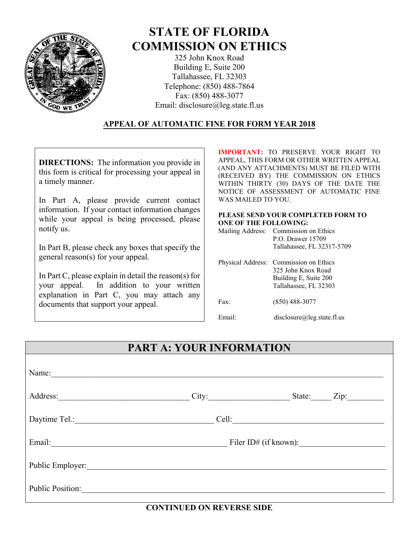

# **STATE OF FLORIDA COMMISSION ON ETHICS**

325 John Knox Road Building E, Suite 200 Tallahassee, FL 32303 Telephone: (850) 488-7864 Fax: (850) 488-3077 Email: disclosure@leg.state.fl.us

#### **APPEAL OF AUTOMATIC FINE FOR FORM YEAR 2018**

**DIRECTIONS:** The information you provide in this form is critical for processing your appeal in a timely manner.

In Part A, please provide current contact information. If your contact information changes while your appeal is being processed, please notify us.

In Part B, please check any boxes that specify the general reason(s) for your appeal.

In Part C, please explain in detail the reason(s) for your appeal. In addition to your written explanation in Part C, you may attach any documents that support your appeal.

**IMPORTANT:** TO PRESERVE YOUR RIGHT TO APPEAL, THIS FORM OR OTHER WRITTEN APPEAL (AND ANY ATTACHMENTS) MUST BE FILED WITH (RECEIVED BY) THE COMMISSION ON ETHICS WITHIN THIRTY (30) DAYS OF THE DATE THE NOTICE OF ASSESSMENT OF AUTOMATIC FINE WAS MAILED TO YOU.

#### **PLEASE SEND YOUR COMPLETED FORM TO ONE OF THE FOLLOWING:**

| Mailing Address: Commission on Ethics |
|---------------------------------------|
| P.O. Drawer 15709                     |
| Tallahassee, FL 32317-5709            |

|        | Physical Address: Commission on Ethics<br>325 John Knox Road<br>Building E, Suite 200<br>Tallahassee, FL 32303 |
|--------|----------------------------------------------------------------------------------------------------------------|
| Fax    | $(850)$ 488-3077                                                                                               |
| Email· | disclosure@leg.state.fl.us                                                                                     |

# **PART A: YOUR INFORMATION**

| Name:                   |       |                         |                    |
|-------------------------|-------|-------------------------|--------------------|
| Address:                |       | City:                   | State: <u>Zip:</u> |
| Daytime Tel.:           | Cell: |                         |                    |
| Email:                  |       | Filer $ID#$ (if known): |                    |
| Public Employer:        |       |                         |                    |
| <b>Public Position:</b> |       |                         |                    |